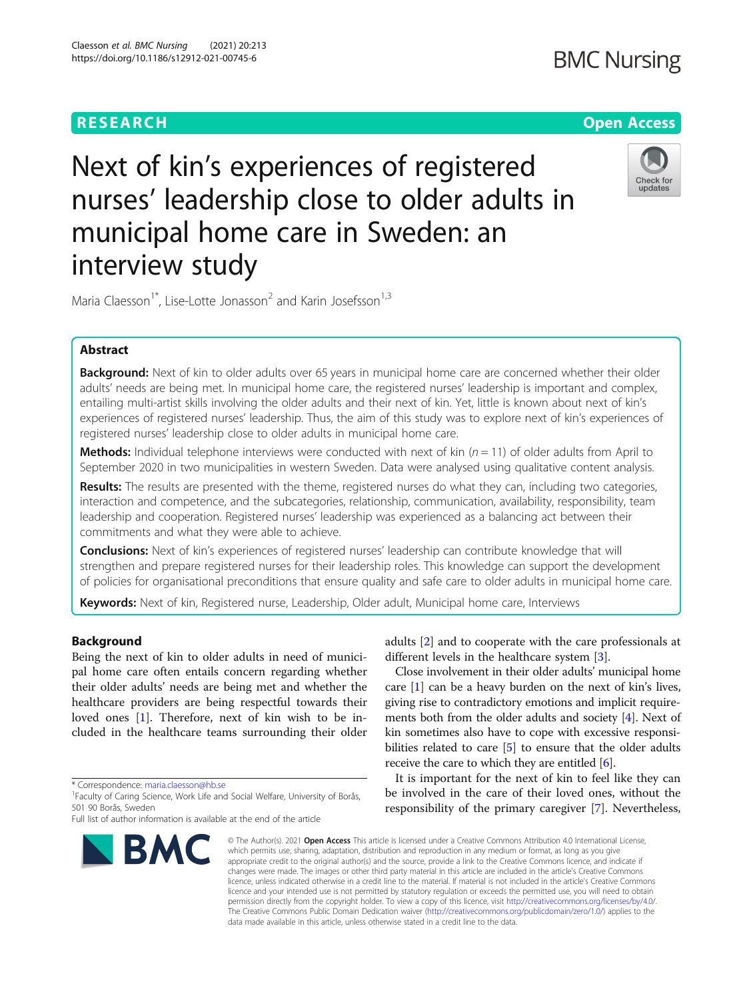interview study

# **RESEARCH CHE Open Access**

# Check for updates

Maria Claesson<sup>1\*</sup>, Lise-Lotte Jonasson<sup>2</sup> and Karin Josefsson<sup>1,3</sup>

Next of kin's experiences of registered

municipal home care in Sweden: an

nurses' leadership close to older adults in

# Abstract

Background: Next of kin to older adults over 65 years in municipal home care are concerned whether their older adults' needs are being met. In municipal home care, the registered nurses' leadership is important and complex, entailing multi-artist skills involving the older adults and their next of kin. Yet, little is known about next of kin's experiences of registered nurses' leadership. Thus, the aim of this study was to explore next of kin's experiences of registered nurses' leadership close to older adults in municipal home care.

**Methods:** Individual telephone interviews were conducted with next of kin  $(n = 11)$  of older adults from April to September 2020 in two municipalities in western Sweden. Data were analysed using qualitative content analysis.

Results: The results are presented with the theme, registered nurses do what they can, including two categories, interaction and competence, and the subcategories, relationship, communication, availability, responsibility, team leadership and cooperation. Registered nurses' leadership was experienced as a balancing act between their commitments and what they were able to achieve.

Conclusions: Next of kin's experiences of registered nurses' leadership can contribute knowledge that will strengthen and prepare registered nurses for their leadership roles. This knowledge can support the development of policies for organisational preconditions that ensure quality and safe care to older adults in municipal home care.

Keywords: Next of kin, Registered nurse, Leadership, Older adult, Municipal home care, Interviews

# Background

Being the next of kin to older adults in need of municipal home care often entails concern regarding whether their older adults' needs are being met and whether the healthcare providers are being respectful towards their loved ones [[1](#page-6-0)]. Therefore, next of kin wish to be included in the healthcare teams surrounding their older

\* Correspondence: [maria.claesson@hb.se](mailto:maria.claesson@hb.se) <sup>1</sup>

Full list of author information is available at the end of the article



adults [\[2](#page-6-0)] and to cooperate with the care professionals at different levels in the healthcare system [[3\]](#page-6-0).

Close involvement in their older adults' municipal home care [[1\]](#page-6-0) can be a heavy burden on the next of kin's lives, giving rise to contradictory emotions and implicit requirements both from the older adults and society [[4\]](#page-6-0). Next of kin sometimes also have to cope with excessive responsi-bilities related to care [[5](#page-6-0)] to ensure that the older adults receive the care to which they are entitled  $[6]$ .

It is important for the next of kin to feel like they can be involved in the care of their loved ones, without the responsibility of the primary caregiver [[7\]](#page-6-0). Nevertheless,

© The Author(s), 2021 **Open Access** This article is licensed under a Creative Commons Attribution 4.0 International License, which permits use, sharing, adaptation, distribution and reproduction in any medium or format, as long as you give appropriate credit to the original author(s) and the source, provide a link to the Creative Commons licence, and indicate if changes were made. The images or other third party material in this article are included in the article's Creative Commons licence, unless indicated otherwise in a credit line to the material. If material is not included in the article's Creative Commons licence and your intended use is not permitted by statutory regulation or exceeds the permitted use, you will need to obtain permission directly from the copyright holder. To view a copy of this licence, visit [http://creativecommons.org/licenses/by/4.0/.](http://creativecommons.org/licenses/by/4.0/) The Creative Commons Public Domain Dedication waiver [\(http://creativecommons.org/publicdomain/zero/1.0/](http://creativecommons.org/publicdomain/zero/1.0/)) applies to the data made available in this article, unless otherwise stated in a credit line to the data.

<sup>&</sup>lt;sup>1</sup>Faculty of Caring Science, Work Life and Social Welfare, University of Borås, 501 90 Borås, Sweden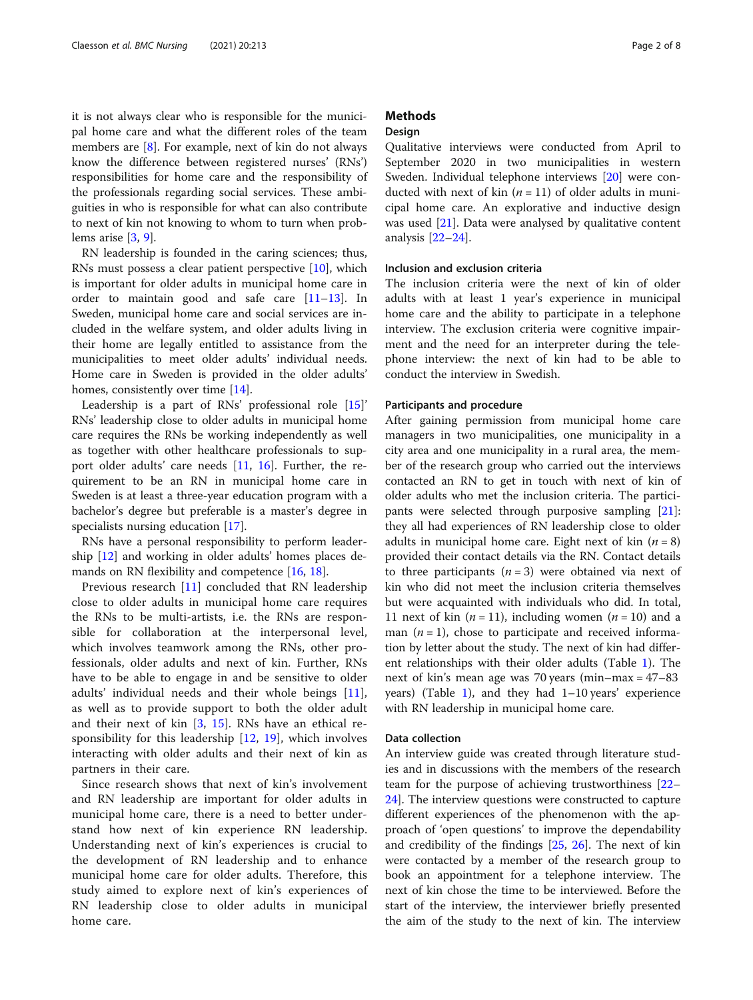it is not always clear who is responsible for the municipal home care and what the different roles of the team members are [\[8](#page-6-0)]. For example, next of kin do not always know the difference between registered nurses' (RNs') responsibilities for home care and the responsibility of the professionals regarding social services. These ambiguities in who is responsible for what can also contribute to next of kin not knowing to whom to turn when problems arise [\[3](#page-6-0), [9](#page-6-0)].

RN leadership is founded in the caring sciences; thus, RNs must possess a clear patient perspective [[10\]](#page-6-0), which is important for older adults in municipal home care in order to maintain good and safe care [[11](#page-6-0)–[13](#page-6-0)]. In Sweden, municipal home care and social services are included in the welfare system, and older adults living in their home are legally entitled to assistance from the municipalities to meet older adults' individual needs. Home care in Sweden is provided in the older adults' homes, consistently over time [[14\]](#page-6-0).

Leadership is a part of RNs' professional role [[15](#page-6-0)]' RNs' leadership close to older adults in municipal home care requires the RNs be working independently as well as together with other healthcare professionals to support older adults' care needs  $[11, 16]$  $[11, 16]$  $[11, 16]$  $[11, 16]$ . Further, the requirement to be an RN in municipal home care in Sweden is at least a three-year education program with a bachelor's degree but preferable is a master's degree in specialists nursing education [\[17\]](#page-7-0).

RNs have a personal responsibility to perform leadership [\[12](#page-6-0)] and working in older adults' homes places demands on RN flexibility and competence [\[16,](#page-7-0) [18\]](#page-7-0).

Previous research [\[11](#page-6-0)] concluded that RN leadership close to older adults in municipal home care requires the RNs to be multi-artists, i.e. the RNs are responsible for collaboration at the interpersonal level, which involves teamwork among the RNs, other professionals, older adults and next of kin. Further, RNs have to be able to engage in and be sensitive to older adults' individual needs and their whole beings [\[11](#page-6-0)], as well as to provide support to both the older adult and their next of kin [[3](#page-6-0), [15\]](#page-6-0). RNs have an ethical responsibility for this leadership [[12,](#page-6-0) [19\]](#page-7-0), which involves interacting with older adults and their next of kin as partners in their care.

Since research shows that next of kin's involvement and RN leadership are important for older adults in municipal home care, there is a need to better understand how next of kin experience RN leadership. Understanding next of kin's experiences is crucial to the development of RN leadership and to enhance municipal home care for older adults. Therefore, this study aimed to explore next of kin's experiences of RN leadership close to older adults in municipal home care.

# **Methods**

#### **Design**

Qualitative interviews were conducted from April to September 2020 in two municipalities in western Sweden. Individual telephone interviews [[20\]](#page-7-0) were conducted with next of kin  $(n = 11)$  of older adults in municipal home care. An explorative and inductive design was used [\[21\]](#page-7-0). Data were analysed by qualitative content analysis [\[22](#page-7-0)–[24\]](#page-7-0).

## Inclusion and exclusion criteria

The inclusion criteria were the next of kin of older adults with at least 1 year's experience in municipal home care and the ability to participate in a telephone interview. The exclusion criteria were cognitive impairment and the need for an interpreter during the telephone interview: the next of kin had to be able to conduct the interview in Swedish.

#### Participants and procedure

After gaining permission from municipal home care managers in two municipalities, one municipality in a city area and one municipality in a rural area, the member of the research group who carried out the interviews contacted an RN to get in touch with next of kin of older adults who met the inclusion criteria. The participants were selected through purposive sampling [\[21](#page-7-0)]: they all had experiences of RN leadership close to older adults in municipal home care. Eight next of kin  $(n = 8)$ provided their contact details via the RN. Contact details to three participants  $(n = 3)$  were obtained via next of kin who did not meet the inclusion criteria themselves but were acquainted with individuals who did. In total, 11 next of kin  $(n = 11)$ , including women  $(n = 10)$  and a man  $(n = 1)$ , chose to participate and received information by letter about the study. The next of kin had different relationships with their older adults (Table [1\)](#page-2-0). The next of kin's mean age was 70 years (min–max = 47–83 years) (Table [1](#page-2-0)), and they had 1–10 years' experience with RN leadership in municipal home care.

#### Data collection

An interview guide was created through literature studies and in discussions with the members of the research team for the purpose of achieving trustworthiness [[22](#page-7-0)– [24\]](#page-7-0). The interview questions were constructed to capture different experiences of the phenomenon with the approach of 'open questions' to improve the dependability and credibility of the findings [[25,](#page-7-0) [26\]](#page-7-0). The next of kin were contacted by a member of the research group to book an appointment for a telephone interview. The next of kin chose the time to be interviewed. Before the start of the interview, the interviewer briefly presented the aim of the study to the next of kin. The interview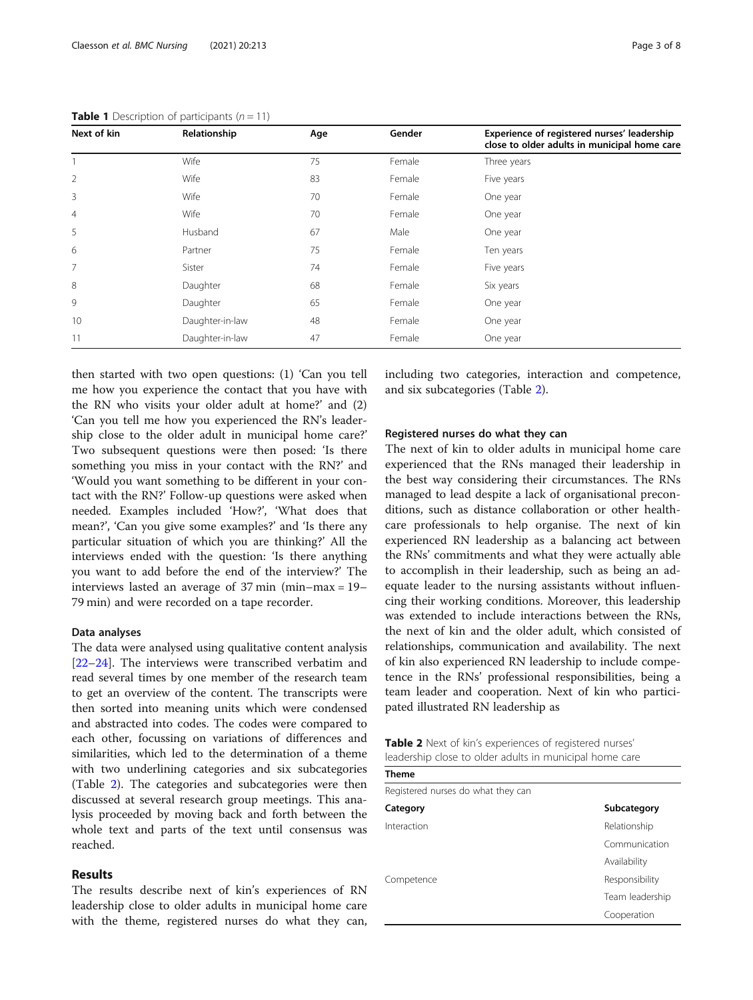| Next of kin    | Relationship    | Age | Gender | Experience of registered nurses' leadership<br>close to older adults in municipal home care |
|----------------|-----------------|-----|--------|---------------------------------------------------------------------------------------------|
|                | Wife            | 75  | Female | Three years                                                                                 |
| 2              | Wife            | 83  | Female | Five years                                                                                  |
| 3              | Wife            | 70  | Female | One year                                                                                    |
| $\overline{4}$ | Wife            | 70  | Female | One year                                                                                    |
| 5              | Husband         | 67  | Male   | One year                                                                                    |
| 6              | Partner         | 75  | Female | Ten years                                                                                   |
| 7              | Sister          | 74  | Female | Five years                                                                                  |
| 8              | Daughter        | 68  | Female | Six years                                                                                   |
| 9              | Daughter        | 65  | Female | One year                                                                                    |
| 10             | Daughter-in-law | 48  | Female | One year                                                                                    |
| 11             | Daughter-in-law | 47  | Female | One year                                                                                    |

<span id="page-2-0"></span>**Table 1** Description of participants  $(n = 11)$ 

then started with two open questions: (1) 'Can you tell me how you experience the contact that you have with the RN who visits your older adult at home?' and (2) 'Can you tell me how you experienced the RN's leadership close to the older adult in municipal home care?' Two subsequent questions were then posed: 'Is there something you miss in your contact with the RN?' and 'Would you want something to be different in your contact with the RN?' Follow-up questions were asked when needed. Examples included 'How?', 'What does that mean?', 'Can you give some examples?' and 'Is there any particular situation of which you are thinking?' All the interviews ended with the question: 'Is there anything you want to add before the end of the interview?' The interviews lasted an average of 37 min (min–max = 19– 79 min) and were recorded on a tape recorder.

#### Data analyses

The data were analysed using qualitative content analysis [[22](#page-7-0)–[24](#page-7-0)]. The interviews were transcribed verbatim and read several times by one member of the research team to get an overview of the content. The transcripts were then sorted into meaning units which were condensed and abstracted into codes. The codes were compared to each other, focussing on variations of differences and similarities, which led to the determination of a theme with two underlining categories and six subcategories (Table 2). The categories and subcategories were then discussed at several research group meetings. This analysis proceeded by moving back and forth between the whole text and parts of the text until consensus was reached.

### Results

The results describe next of kin's experiences of RN leadership close to older adults in municipal home care with the theme, registered nurses do what they can, including two categories, interaction and competence, and six subcategories (Table 2).

### Registered nurses do what they can

The next of kin to older adults in municipal home care experienced that the RNs managed their leadership in the best way considering their circumstances. The RNs managed to lead despite a lack of organisational preconditions, such as distance collaboration or other healthcare professionals to help organise. The next of kin experienced RN leadership as a balancing act between the RNs' commitments and what they were actually able to accomplish in their leadership, such as being an adequate leader to the nursing assistants without influencing their working conditions. Moreover, this leadership was extended to include interactions between the RNs, the next of kin and the older adult, which consisted of relationships, communication and availability. The next of kin also experienced RN leadership to include competence in the RNs' professional responsibilities, being a team leader and cooperation. Next of kin who participated illustrated RN leadership as

| <b>Table 2</b> Next of kin's experiences of registered nurses' |  |
|----------------------------------------------------------------|--|
| leadership close to older adults in municipal home care        |  |

| Theme                              |                 |  |  |  |
|------------------------------------|-----------------|--|--|--|
| Registered nurses do what they can |                 |  |  |  |
| Category                           | Subcategory     |  |  |  |
| Interaction                        | Relationship    |  |  |  |
|                                    | Communication   |  |  |  |
|                                    | Availability    |  |  |  |
| Competence                         | Responsibility  |  |  |  |
|                                    | Team leadership |  |  |  |
|                                    | Cooperation     |  |  |  |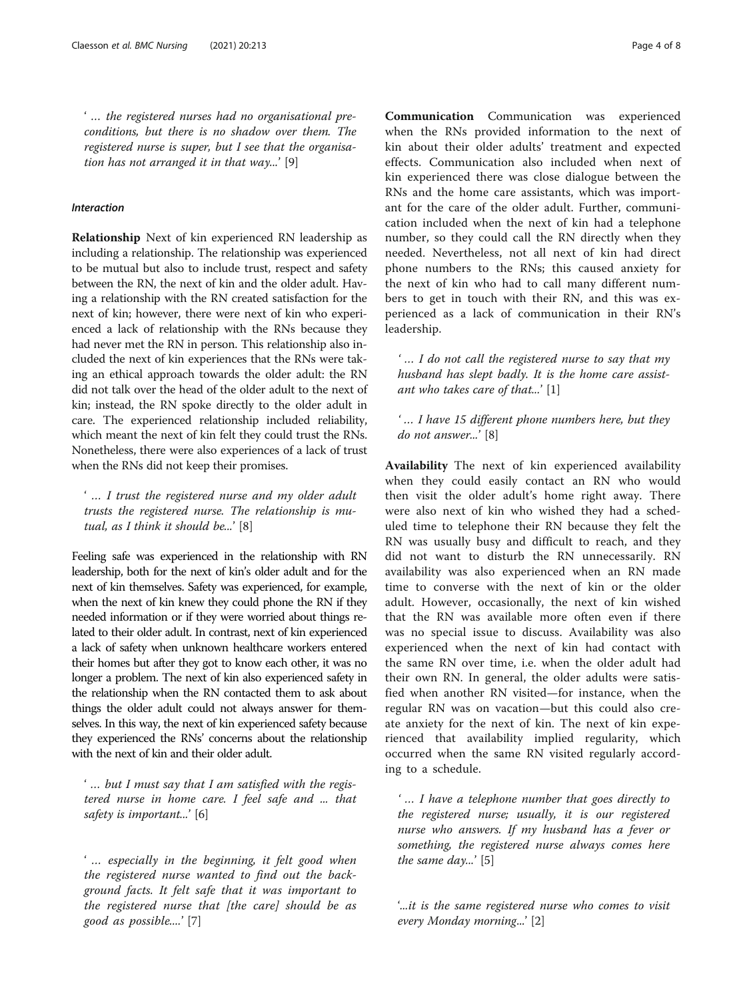' … the registered nurses had no organisational preconditions, but there is no shadow over them. The registered nurse is super, but I see that the organisation has not arranged it in that way...' [9]

## Interaction

Relationship Next of kin experienced RN leadership as including a relationship. The relationship was experienced to be mutual but also to include trust, respect and safety between the RN, the next of kin and the older adult. Having a relationship with the RN created satisfaction for the next of kin; however, there were next of kin who experienced a lack of relationship with the RNs because they had never met the RN in person. This relationship also included the next of kin experiences that the RNs were taking an ethical approach towards the older adult: the RN did not talk over the head of the older adult to the next of kin; instead, the RN spoke directly to the older adult in care. The experienced relationship included reliability, which meant the next of kin felt they could trust the RNs. Nonetheless, there were also experiences of a lack of trust when the RNs did not keep their promises.

' … I trust the registered nurse and my older adult trusts the registered nurse. The relationship is mutual, as I think it should be...' [8]

Feeling safe was experienced in the relationship with RN leadership, both for the next of kin's older adult and for the next of kin themselves. Safety was experienced, for example, when the next of kin knew they could phone the RN if they needed information or if they were worried about things related to their older adult. In contrast, next of kin experienced a lack of safety when unknown healthcare workers entered their homes but after they got to know each other, it was no longer a problem. The next of kin also experienced safety in the relationship when the RN contacted them to ask about things the older adult could not always answer for themselves. In this way, the next of kin experienced safety because they experienced the RNs' concerns about the relationship with the next of kin and their older adult.

' … but I must say that I am satisfied with the registered nurse in home care. I feel safe and ... that safety is important...' [6]

' … especially in the beginning, it felt good when the registered nurse wanted to find out the background facts. It felt safe that it was important to the registered nurse that [the care] should be as good as possible....' [7]

Communication Communication was experienced when the RNs provided information to the next of kin about their older adults' treatment and expected effects. Communication also included when next of kin experienced there was close dialogue between the RNs and the home care assistants, which was important for the care of the older adult. Further, communication included when the next of kin had a telephone number, so they could call the RN directly when they needed. Nevertheless, not all next of kin had direct phone numbers to the RNs; this caused anxiety for the next of kin who had to call many different numbers to get in touch with their RN, and this was experienced as a lack of communication in their RN's leadership.

' … I do not call the registered nurse to say that my husband has slept badly. It is the home care assistant who takes care of that...'  $[1]$ 

' … I have 15 different phone numbers here, but they do not answer...' [8]

Availability The next of kin experienced availability when they could easily contact an RN who would then visit the older adult's home right away. There were also next of kin who wished they had a scheduled time to telephone their RN because they felt the RN was usually busy and difficult to reach, and they did not want to disturb the RN unnecessarily. RN availability was also experienced when an RN made time to converse with the next of kin or the older adult. However, occasionally, the next of kin wished that the RN was available more often even if there was no special issue to discuss. Availability was also experienced when the next of kin had contact with the same RN over time, i.e. when the older adult had their own RN. In general, the older adults were satisfied when another RN visited—for instance, when the regular RN was on vacation—but this could also create anxiety for the next of kin. The next of kin experienced that availability implied regularity, which occurred when the same RN visited regularly according to a schedule.

' … I have a telephone number that goes directly to the registered nurse; usually, it is our registered nurse who answers. If my husband has a fever or something, the registered nurse always comes here the same day...' [5]

'...it is the same registered nurse who comes to visit every Monday morning...' [2]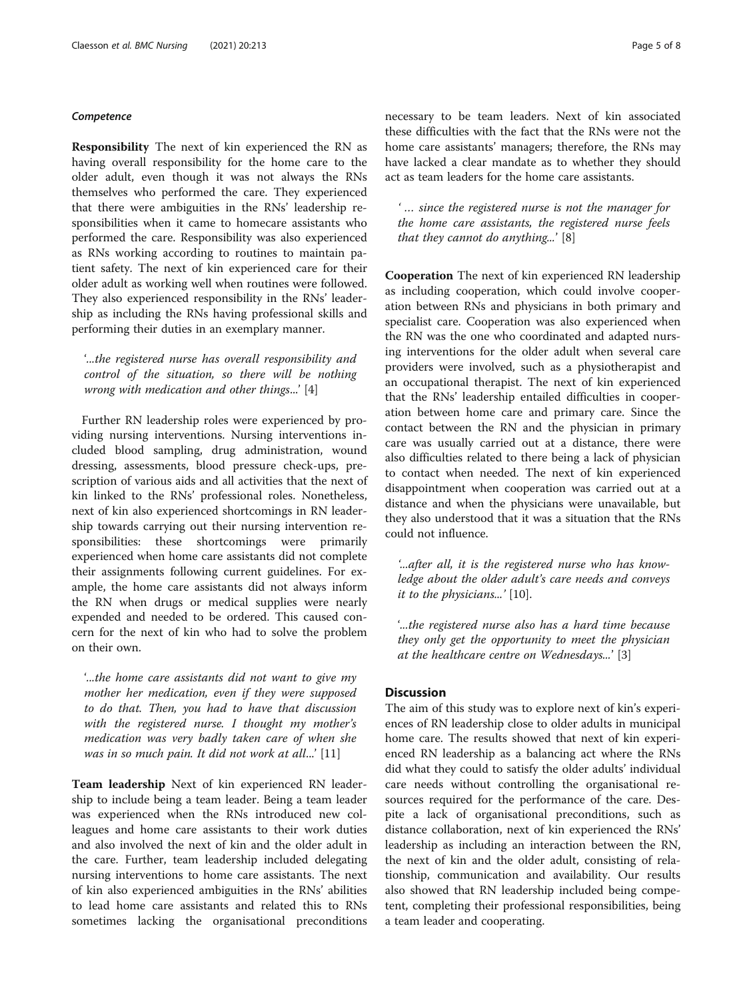#### **Competence**

Responsibility The next of kin experienced the RN as having overall responsibility for the home care to the older adult, even though it was not always the RNs themselves who performed the care. They experienced that there were ambiguities in the RNs' leadership responsibilities when it came to homecare assistants who performed the care. Responsibility was also experienced as RNs working according to routines to maintain patient safety. The next of kin experienced care for their older adult as working well when routines were followed. They also experienced responsibility in the RNs' leadership as including the RNs having professional skills and performing their duties in an exemplary manner.

'...the registered nurse has overall responsibility and control of the situation, so there will be nothing wrong with medication and other things...' [4]

Further RN leadership roles were experienced by providing nursing interventions. Nursing interventions included blood sampling, drug administration, wound dressing, assessments, blood pressure check-ups, prescription of various aids and all activities that the next of kin linked to the RNs' professional roles. Nonetheless, next of kin also experienced shortcomings in RN leadership towards carrying out their nursing intervention responsibilities: these shortcomings were primarily experienced when home care assistants did not complete their assignments following current guidelines. For example, the home care assistants did not always inform the RN when drugs or medical supplies were nearly expended and needed to be ordered. This caused concern for the next of kin who had to solve the problem on their own.

'...the home care assistants did not want to give my mother her medication, even if they were supposed to do that. Then, you had to have that discussion with the registered nurse. I thought my mother's medication was very badly taken care of when she was in so much pain. It did not work at all...' [11]

Team leadership Next of kin experienced RN leadership to include being a team leader. Being a team leader was experienced when the RNs introduced new colleagues and home care assistants to their work duties and also involved the next of kin and the older adult in the care. Further, team leadership included delegating nursing interventions to home care assistants. The next of kin also experienced ambiguities in the RNs' abilities to lead home care assistants and related this to RNs sometimes lacking the organisational preconditions necessary to be team leaders. Next of kin associated these difficulties with the fact that the RNs were not the home care assistants' managers; therefore, the RNs may have lacked a clear mandate as to whether they should act as team leaders for the home care assistants.

' … since the registered nurse is not the manager for the home care assistants, the registered nurse feels that they cannot do anything...' [8]

Cooperation The next of kin experienced RN leadership as including cooperation, which could involve cooperation between RNs and physicians in both primary and specialist care. Cooperation was also experienced when the RN was the one who coordinated and adapted nursing interventions for the older adult when several care providers were involved, such as a physiotherapist and an occupational therapist. The next of kin experienced that the RNs' leadership entailed difficulties in cooperation between home care and primary care. Since the contact between the RN and the physician in primary care was usually carried out at a distance, there were also difficulties related to there being a lack of physician to contact when needed. The next of kin experienced disappointment when cooperation was carried out at a distance and when the physicians were unavailable, but they also understood that it was a situation that the RNs could not influence.

'...after all, it is the registered nurse who has knowledge about the older adult's care needs and conveys it to the physicians...' [10].

'...the registered nurse also has a hard time because they only get the opportunity to meet the physician at the healthcare centre on Wednesdays...' [3]

#### **Discussion**

The aim of this study was to explore next of kin's experiences of RN leadership close to older adults in municipal home care. The results showed that next of kin experienced RN leadership as a balancing act where the RNs did what they could to satisfy the older adults' individual care needs without controlling the organisational resources required for the performance of the care. Despite a lack of organisational preconditions, such as distance collaboration, next of kin experienced the RNs' leadership as including an interaction between the RN, the next of kin and the older adult, consisting of relationship, communication and availability. Our results also showed that RN leadership included being competent, completing their professional responsibilities, being a team leader and cooperating.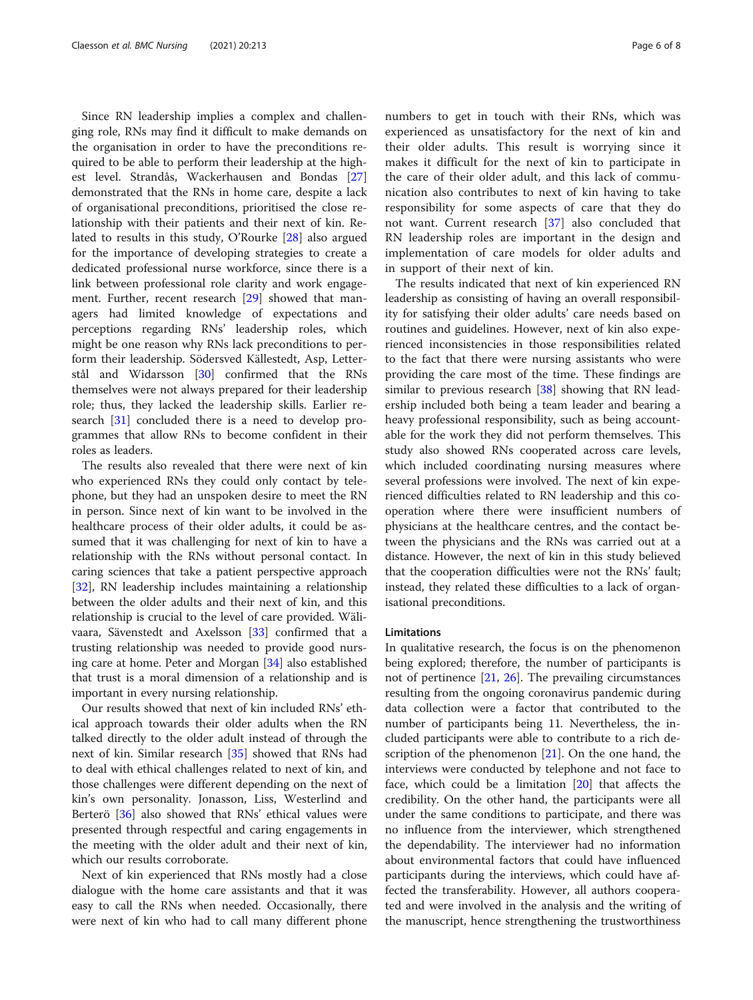Since RN leadership implies a complex and challenging role, RNs may find it difficult to make demands on the organisation in order to have the preconditions required to be able to perform their leadership at the highest level. Strandås, Wackerhausen and Bondas [[27](#page-7-0)] demonstrated that the RNs in home care, despite a lack of organisational preconditions, prioritised the close relationship with their patients and their next of kin. Related to results in this study, O'Rourke [[28](#page-7-0)] also argued for the importance of developing strategies to create a dedicated professional nurse workforce, since there is a link between professional role clarity and work engagement. Further, recent research [[29\]](#page-7-0) showed that managers had limited knowledge of expectations and perceptions regarding RNs' leadership roles, which might be one reason why RNs lack preconditions to perform their leadership. Södersved Källestedt, Asp, Letterstål and Widarsson [\[30\]](#page-7-0) confirmed that the RNs themselves were not always prepared for their leadership role; thus, they lacked the leadership skills. Earlier research [\[31](#page-7-0)] concluded there is a need to develop programmes that allow RNs to become confident in their roles as leaders.

The results also revealed that there were next of kin who experienced RNs they could only contact by telephone, but they had an unspoken desire to meet the RN in person. Since next of kin want to be involved in the healthcare process of their older adults, it could be assumed that it was challenging for next of kin to have a relationship with the RNs without personal contact. In caring sciences that take a patient perspective approach [[32\]](#page-7-0), RN leadership includes maintaining a relationship between the older adults and their next of kin, and this relationship is crucial to the level of care provided. Wälivaara, Sävenstedt and Axelsson [[33](#page-7-0)] confirmed that a trusting relationship was needed to provide good nursing care at home. Peter and Morgan [\[34\]](#page-7-0) also established that trust is a moral dimension of a relationship and is important in every nursing relationship.

Our results showed that next of kin included RNs' ethical approach towards their older adults when the RN talked directly to the older adult instead of through the next of kin. Similar research [\[35\]](#page-7-0) showed that RNs had to deal with ethical challenges related to next of kin, and those challenges were different depending on the next of kin's own personality. Jonasson, Liss, Westerlind and Berterö [\[36](#page-7-0)] also showed that RNs' ethical values were presented through respectful and caring engagements in the meeting with the older adult and their next of kin, which our results corroborate.

Next of kin experienced that RNs mostly had a close dialogue with the home care assistants and that it was easy to call the RNs when needed. Occasionally, there were next of kin who had to call many different phone

numbers to get in touch with their RNs, which was experienced as unsatisfactory for the next of kin and their older adults. This result is worrying since it makes it difficult for the next of kin to participate in the care of their older adult, and this lack of communication also contributes to next of kin having to take responsibility for some aspects of care that they do not want. Current research [[37\]](#page-7-0) also concluded that RN leadership roles are important in the design and implementation of care models for older adults and in support of their next of kin.

The results indicated that next of kin experienced RN leadership as consisting of having an overall responsibility for satisfying their older adults' care needs based on routines and guidelines. However, next of kin also experienced inconsistencies in those responsibilities related to the fact that there were nursing assistants who were providing the care most of the time. These findings are similar to previous research [\[38](#page-7-0)] showing that RN leadership included both being a team leader and bearing a heavy professional responsibility, such as being accountable for the work they did not perform themselves. This study also showed RNs cooperated across care levels, which included coordinating nursing measures where several professions were involved. The next of kin experienced difficulties related to RN leadership and this cooperation where there were insufficient numbers of physicians at the healthcare centres, and the contact between the physicians and the RNs was carried out at a distance. However, the next of kin in this study believed that the cooperation difficulties were not the RNs' fault; instead, they related these difficulties to a lack of organisational preconditions.

#### Limitations

In qualitative research, the focus is on the phenomenon being explored; therefore, the number of participants is not of pertinence [\[21](#page-7-0), [26\]](#page-7-0). The prevailing circumstances resulting from the ongoing coronavirus pandemic during data collection were a factor that contributed to the number of participants being 11. Nevertheless, the included participants were able to contribute to a rich description of the phenomenon  $[21]$  $[21]$ . On the one hand, the interviews were conducted by telephone and not face to face, which could be a limitation  $[20]$  that affects the credibility. On the other hand, the participants were all under the same conditions to participate, and there was no influence from the interviewer, which strengthened the dependability. The interviewer had no information about environmental factors that could have influenced participants during the interviews, which could have affected the transferability. However, all authors cooperated and were involved in the analysis and the writing of the manuscript, hence strengthening the trustworthiness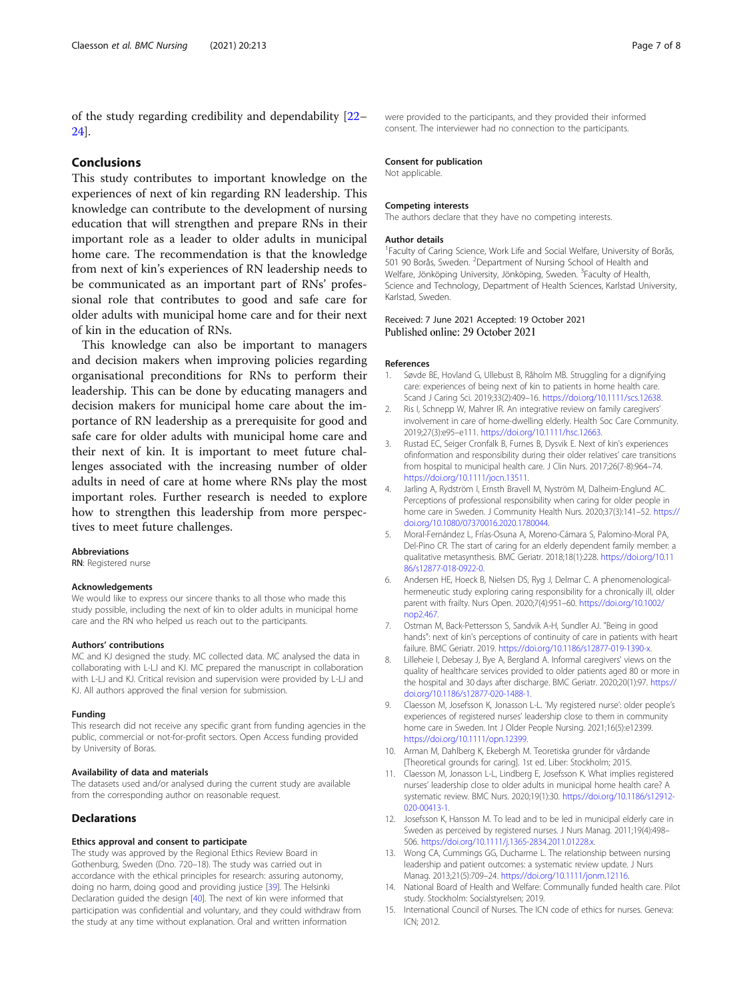<span id="page-6-0"></span>of the study regarding credibility and dependability [[22](#page-7-0)– [24\]](#page-7-0).

#### Conclusions

This study contributes to important knowledge on the experiences of next of kin regarding RN leadership. This knowledge can contribute to the development of nursing education that will strengthen and prepare RNs in their important role as a leader to older adults in municipal home care. The recommendation is that the knowledge from next of kin's experiences of RN leadership needs to be communicated as an important part of RNs' professional role that contributes to good and safe care for older adults with municipal home care and for their next of kin in the education of RNs.

This knowledge can also be important to managers and decision makers when improving policies regarding organisational preconditions for RNs to perform their leadership. This can be done by educating managers and decision makers for municipal home care about the importance of RN leadership as a prerequisite for good and safe care for older adults with municipal home care and their next of kin. It is important to meet future challenges associated with the increasing number of older adults in need of care at home where RNs play the most important roles. Further research is needed to explore how to strengthen this leadership from more perspectives to meet future challenges.

#### Abbreviations

RN: Registered nurse

#### Acknowledgements

We would like to express our sincere thanks to all those who made this study possible, including the next of kin to older adults in municipal home care and the RN who helped us reach out to the participants.

#### Authors' contributions

MC and KJ designed the study. MC collected data. MC analysed the data in collaborating with L-LJ and KJ. MC prepared the manuscript in collaboration with L-LJ and KJ. Critical revision and supervision were provided by L-LJ and KJ. All authors approved the final version for submission.

#### Funding

This research did not receive any specific grant from funding agencies in the public, commercial or not-for-profit sectors. Open Access funding provided by University of Boras.

#### Availability of data and materials

The datasets used and/or analysed during the current study are available from the corresponding author on reasonable request.

#### Declarations

#### Ethics approval and consent to participate

The study was approved by the Regional Ethics Review Board in Gothenburg, Sweden (Dno. 720–18). The study was carried out in accordance with the ethical principles for research: assuring autonomy, doing no harm, doing good and providing justice [\[39](#page-7-0)]. The Helsinki Declaration guided the design [[40\]](#page-7-0). The next of kin were informed that participation was confidential and voluntary, and they could withdraw from the study at any time without explanation. Oral and written information

#### Consent for publication

Not applicable.

#### Competing interests

The authors declare that they have no competing interests.

#### Author details

<sup>1</sup> Faculty of Caring Science, Work Life and Social Welfare, University of Borås, 501 90 Borås, Sweden. <sup>2</sup> Department of Nursing School of Health and Welfare, Jönköping University, Jönköping, Sweden. <sup>3</sup>Faculty of Health Science and Technology, Department of Health Sciences, Karlstad University, Karlstad, Sweden.

# Received: 7 June 2021 Accepted: 19 October 2021<br>Published online: 29 October 2021

#### References

- 1. Søvde BE, Hovland G, Ullebust B, Råholm MB. Struggling for a dignifying care: experiences of being next of kin to patients in home health care. Scand J Caring Sci. 2019;33(2):409–16. <https://doi.org/10.1111/scs.12638>.
- 2. Ris I, Schnepp W, Mahrer IR. An integrative review on family caregivers' involvement in care of home-dwelling elderly. Health Soc Care Community. 2019;27(3):e95–e111. <https://doi.org/10.1111/hsc.12663>.
- 3. Rustad EC, Seiger Cronfalk B, Furnes B, Dysvik E. Next of kin's experiences ofinformation and responsibility during their older relatives' care transitions from hospital to municipal health care. J Clin Nurs. 2017;26(7-8):964–74. <https://doi.org/10.1111/jocn.13511>.
- 4. Jarling A, Rydström I, Ernsth Bravell M, Nyström M, Dalheim-Englund AC. Perceptions of professional responsibility when caring for older people in home care in Sweden. J Community Health Nurs. 2020;37(3):141–52. [https://](https://doi.org/10.1080/07370016.2020.1780044) [doi.org/10.1080/07370016.2020.1780044.](https://doi.org/10.1080/07370016.2020.1780044)
- 5. Moral-Fernández L, Frías-Osuna A, Moreno-Cámara S, Palomino-Moral PA, Del-Pino CR. The start of caring for an elderly dependent family member: a qualitative metasynthesis. BMC Geriatr. 2018;18(1):228. [https://doi.org/10.11](https://doi.org/10.1186/s12877-018-0922-0) [86/s12877-018-0922-0](https://doi.org/10.1186/s12877-018-0922-0).
- Andersen HE, Hoeck B, Nielsen DS, Ryg J, Delmar C. A phenomenologicalhermeneutic study exploring caring responsibility for a chronically ill, older parent with frailty. Nurs Open. 2020;7(4):951–60. [https://doi.org/10.1002/](https://doi.org/10.1002/nop2.467) [nop2.467.](https://doi.org/10.1002/nop2.467)
- 7. Ostman M, Back-Pettersson S, Sandvik A-H, Sundler AJ. "Being in good hands": next of kin's perceptions of continuity of care in patients with heart failure. BMC Geriatr. 2019. [https://doi.org/10.1186/s12877-019-1390-x.](https://doi.org/10.1186/s12877-019-1390-x)
- Lilleheie I, Debesay J, Bye A, Bergland A. Informal caregivers' views on the quality of healthcare services provided to older patients aged 80 or more in the hospital and 30 days after discharge. BMC Geriatr. 2020;20(1):97. [https://](https://doi.org/10.1186/s12877-020-1488-1) [doi.org/10.1186/s12877-020-1488-1.](https://doi.org/10.1186/s12877-020-1488-1)
- 9. Claesson M, Josefsson K, Jonasson L-L. 'My registered nurse': older people's experiences of registered nurses' leadership close to them in community home care in Sweden. Int J Older People Nursing. 2021;16(5):e12399. [https://doi.org/10.1111/opn.12399.](https://doi.org/10.1111/opn.12399)
- 10. Arman M, Dahlberg K, Ekebergh M. Teoretiska grunder för vårdande [Theoretical grounds for caring]. 1st ed. Liber: Stockholm; 2015.
- 11. Claesson M, Jonasson L-L, Lindberg E, Josefsson K. What implies registered nurses' leadership close to older adults in municipal home health care? A systematic review. BMC Nurs. 2020;19(1):30. [https://doi.org/10.1186/s12912-](https://doi.org/10.1186/s12912-020-00413-1) [020-00413-1.](https://doi.org/10.1186/s12912-020-00413-1)
- 12. Josefsson K, Hansson M. To lead and to be led in municipal elderly care in Sweden as perceived by registered nurses. J Nurs Manag. 2011;19(4):498– 506. [https://doi.org/10.1111/j.1365-2834.2011.01228.x.](https://doi.org/10.1111/j.1365-2834.2011.01228.x)
- 13. Wong CA, Cummings GG, Ducharme L. The relationship between nursing leadership and patient outcomes: a systematic review update. J Nurs Manag. 2013;21(5):709–24. [https://doi.org/10.1111/jonm.12116.](https://doi.org/10.1111/jonm.12116)
- 14. National Board of Health and Welfare: Communally funded health care. Pilot study. Stockholm: Socialstyrelsen; 2019.
- 15. International Council of Nurses. The ICN code of ethics for nurses. Geneva: ICN; 2012.